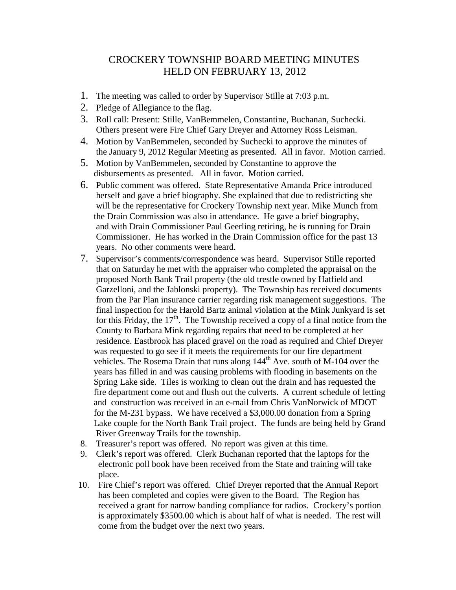## CROCKERY TOWNSHIP BOARD MEETING MINUTES HELD ON FEBRUARY 13, 2012

- 1. The meeting was called to order by Supervisor Stille at 7:03 p.m.
- 2. Pledge of Allegiance to the flag.
- 3. Roll call: Present: Stille, VanBemmelen, Constantine, Buchanan, Suchecki. Others present were Fire Chief Gary Dreyer and Attorney Ross Leisman.
- 4. Motion by VanBemmelen, seconded by Suchecki to approve the minutes of the January 9, 2012 Regular Meeting as presented. All in favor. Motion carried.
- 5. Motion by VanBemmelen, seconded by Constantine to approve the disbursements as presented. All in favor. Motion carried.
- 6. Public comment was offered. State Representative Amanda Price introduced herself and gave a brief biography. She explained that due to redistricting she will be the representative for Crockery Township next year. Mike Munch from the Drain Commission was also in attendance. He gave a brief biography, and with Drain Commissioner Paul Geerling retiring, he is running for Drain Commissioner. He has worked in the Drain Commission office for the past 13 years. No other comments were heard.
- 7. Supervisor's comments/correspondence was heard. Supervisor Stille reported that on Saturday he met with the appraiser who completed the appraisal on the proposed North Bank Trail property (the old trestle owned by Hatfield and Garzelloni, and the Jablonski property). The Township has received documents from the Par Plan insurance carrier regarding risk management suggestions. The final inspection for the Harold Bartz animal violation at the Mink Junkyard is set for this Friday, the  $17<sup>th</sup>$ . The Township received a copy of a final notice from the County to Barbara Mink regarding repairs that need to be completed at her residence. Eastbrook has placed gravel on the road as required and Chief Dreyer was requested to go see if it meets the requirements for our fire department vehicles. The Rosema Drain that runs along 144<sup>th</sup> Ave. south of M-104 over the years has filled in and was causing problems with flooding in basements on the Spring Lake side. Tiles is working to clean out the drain and has requested the fire department come out and flush out the culverts. A current schedule of letting and construction was received in an e-mail from Chris VanNorwick of MDOT for the M-231 bypass. We have received a \$3,000.00 donation from a Spring Lake couple for the North Bank Trail project. The funds are being held by Grand River Greenway Trails for the township.
- 8. Treasurer's report was offered. No report was given at this time.
- 9. Clerk's report was offered. Clerk Buchanan reported that the laptops for the electronic poll book have been received from the State and training will take place.
- 10. Fire Chief's report was offered. Chief Dreyer reported that the Annual Report has been completed and copies were given to the Board. The Region has received a grant for narrow banding compliance for radios. Crockery's portion is approximately \$3500.00 which is about half of what is needed. The rest will come from the budget over the next two years.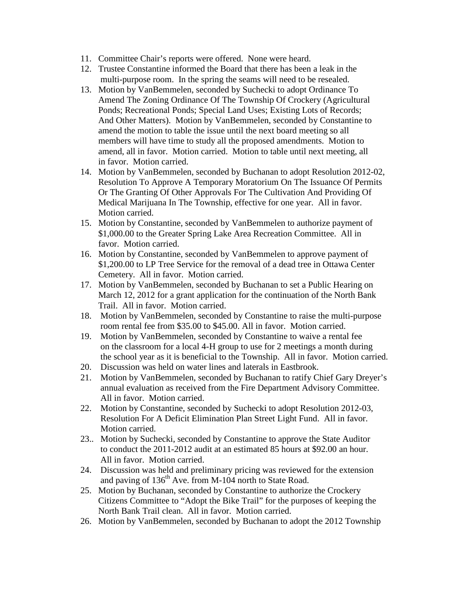- 11. Committee Chair's reports were offered. None were heard.
- 12. Trustee Constantine informed the Board that there has been a leak in the multi-purpose room. In the spring the seams will need to be resealed.
- 13. Motion by VanBemmelen, seconded by Suchecki to adopt Ordinance To Amend The Zoning Ordinance Of The Township Of Crockery (Agricultural Ponds; Recreational Ponds; Special Land Uses; Existing Lots of Records; And Other Matters). Motion by VanBemmelen, seconded by Constantine to amend the motion to table the issue until the next board meeting so all members will have time to study all the proposed amendments. Motion to amend, all in favor. Motion carried. Motion to table until next meeting, all in favor. Motion carried.
- 14. Motion by VanBemmelen, seconded by Buchanan to adopt Resolution 2012-02, Resolution To Approve A Temporary Moratorium On The Issuance Of Permits Or The Granting Of Other Approvals For The Cultivation And Providing Of Medical Marijuana In The Township, effective for one year. All in favor. Motion carried.
- 15. Motion by Constantine, seconded by VanBemmelen to authorize payment of \$1,000.00 to the Greater Spring Lake Area Recreation Committee. All in favor. Motion carried.
- 16. Motion by Constantine, seconded by VanBemmelen to approve payment of \$1,200.00 to LP Tree Service for the removal of a dead tree in Ottawa Center Cemetery. All in favor. Motion carried.
- 17. Motion by VanBemmelen, seconded by Buchanan to set a Public Hearing on March 12, 2012 for a grant application for the continuation of the North Bank Trail. All in favor. Motion carried.
- 18. Motion by VanBemmelen, seconded by Constantine to raise the multi-purpose room rental fee from \$35.00 to \$45.00. All in favor. Motion carried.
- 19. Motion by VanBemmelen, seconded by Constantine to waive a rental fee on the classroom for a local 4-H group to use for 2 meetings a month during the school year as it is beneficial to the Township. All in favor. Motion carried.
- 20. Discussion was held on water lines and laterals in Eastbrook.
- 21. Motion by VanBemmelen, seconded by Buchanan to ratify Chief Gary Dreyer's annual evaluation as received from the Fire Department Advisory Committee. All in favor. Motion carried.
- 22. Motion by Constantine, seconded by Suchecki to adopt Resolution 2012-03, Resolution For A Deficit Elimination Plan Street Light Fund. All in favor. Motion carried.
- 23.. Motion by Suchecki, seconded by Constantine to approve the State Auditor to conduct the 2011-2012 audit at an estimated 85 hours at \$92.00 an hour. All in favor. Motion carried.
- 24. Discussion was held and preliminary pricing was reviewed for the extension and paving of  $136<sup>th</sup>$  Ave. from M-104 north to State Road.
- 25. Motion by Buchanan, seconded by Constantine to authorize the Crockery Citizens Committee to "Adopt the Bike Trail" for the purposes of keeping the North Bank Trail clean. All in favor. Motion carried.
- 26. Motion by VanBemmelen, seconded by Buchanan to adopt the 2012 Township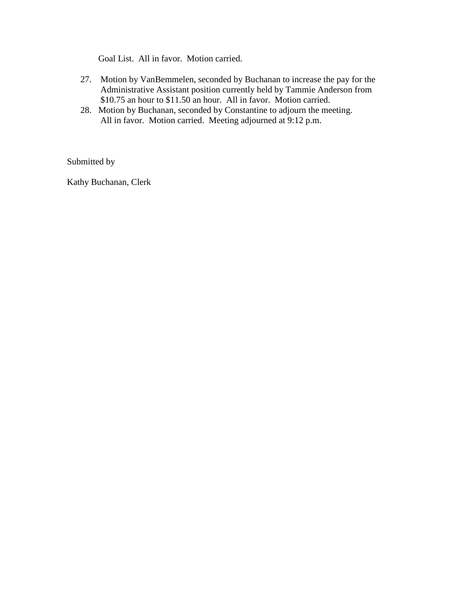Goal List. All in favor. Motion carried.

- 27. Motion by VanBemmelen, seconded by Buchanan to increase the pay for the Administrative Assistant position currently held by Tammie Anderson from \$10.75 an hour to \$11.50 an hour. All in favor. Motion carried.
- 28. Motion by Buchanan, seconded by Constantine to adjourn the meeting. All in favor. Motion carried. Meeting adjourned at 9:12 p.m.

Submitted by

Kathy Buchanan, Clerk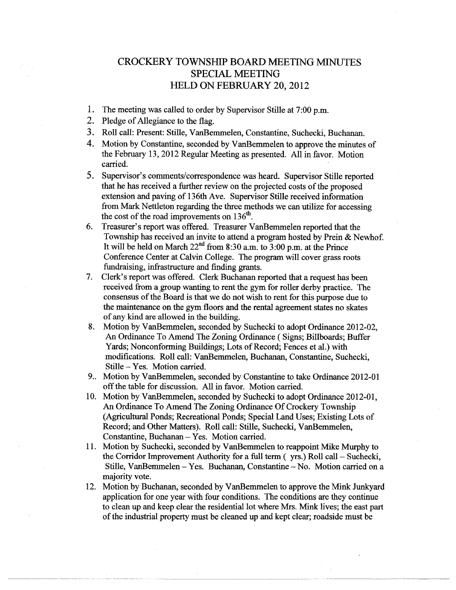## **CROCKERY TOWNSHIP BOARD MEETING MINUTES SPECIAL MEETING HELD ON FEBRUARY 20, 2012**

- 1. The meeting was called to order by Supervisor Stille at 7:00 p.m.
- 2. Pledge of Allegiance to the flag.
- 3. Roll call: Present: Stille, VanBemmelen, Constantine, Suchecki, Buchanan.
- 4. Motion by Constantine, seconded by VanBemmelen to approve the minutes of the February 13, 2012 Regular Meeting as presented. All in favor. Motion carried.
- $5.$ Supervisor's comments/correspondence was heard. Supervisor Stille reported that he has received a further review on the projected costs of the proposed extension and paving of 136th Ave. Supervisor Stille received information from Mark Nettleton regarding the three methods we can utilize for accessing the cost of the road improvements on 136<sup>th</sup>.
- Treasurer's report was offered. Treasurer VanBemmelen reported that the 6. Township has received an invite to attend a program hosted by Prein & Newhof. It will be held on March  $22^{nd}$  from 8:30 a.m. to 3:00 p.m. at the Prince Conference Center at Calvin College. The program will cover grass roots fundraising, infrastructure and finding grants.
- Clerk's report was offered. Clerk Buchanan reported that a request has been  $7_{\scriptscriptstyle{\sim}}$ received from a group wanting to rent the gym for roller derby practice. The consensus of the Board is that we do not wish to rent for this purpose due to the maintenance on the gym floors and the rental agreement states no skates of any kind are allowed in the building.
- Motion by VanBemmelen, seconded by Suchecki to adopt Ordinance 2012-02, 8. An Ordinance To Amend The Zoning Ordinance (Signs: Billboards: Buffer Yards; Nonconforming Buildings; Lots of Record; Fences et al.) with modifications. Roll call: VanBemmelen, Buchanan, Constantine, Suchecki, Stille – Yes. Motion carried.
- 9. Motion by VanBemmelen, seconded by Constantine to take Ordinance 2012-01 off the table for discussion. All in favor. Motion carried.
- 10. Motion by VanBemmelen, seconded by Suchecki to adopt Ordinance 2012-01, An Ordinance To Amend The Zoning Ordinance Of Crockery Township (Agricultural Ponds; Recreational Ponds; Special Land Uses; Existing Lots of Record; and Other Matters). Roll call: Stille, Suchecki, VanBemmelen, Constantine, Buchanan -- Yes. Motion carried.
- 11. Motion by Suchecki, seconded by VanBemmelen to reappoint Mike Murphy to the Corridor Improvement Authority for a full term (yrs.) Roll call – Suchecki, Stille, VanBemmelen – Yes. Buchanan, Constantine – No. Motion carried on a majority vote.
- 12. Motion by Buchanan, seconded by VanBemmelen to approve the Mink Junkyard application for one year with four conditions. The conditions are they continue to clean up and keep clear the residential lot where Mrs. Mink lives; the east part of the industrial property must be cleaned up and kept clear; roadside must be